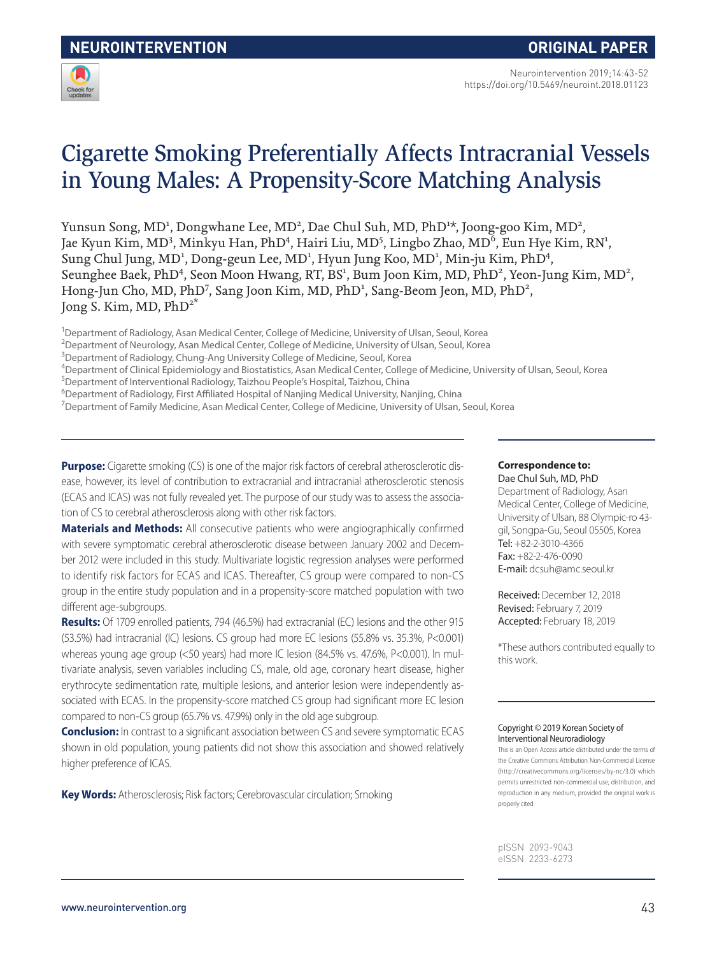

# Cigarette Smoking Preferentially Affects Intracranial Vessels in Young Males: A Propensity-Score Matching Analysis

Yunsun Song, MD<sup>1</sup>, Dongwhane Lee, MD<sup>2</sup>, Dae Chul Suh, MD, PhD<sup>1\*</sup>, Joong-goo Kim, MD<sup>2</sup>, Jae Kyun Kim, MD<sup>3</sup>, Minkyu Han, PhD<sup>4</sup>, Hairi Liu, MD<sup>5</sup>, Lingbo Zhao, MD<sup>6</sup>, Eun Hye Kim, RN<sup>1</sup>, Sung Chul Jung, MD<sup>1</sup>, Dong-geun Lee, MD<sup>1</sup>, Hyun Jung Koo, MD<sup>1</sup>, Min-ju Kim, PhD<sup>4</sup>, Seunghee Baek, PhD<sup>4</sup>, Seon Moon Hwang, RT, BS<sup>1</sup>, Bum Joon Kim, MD, PhD<sup>2</sup>, Yeon-Jung Kim, MD<sup>2</sup>, Hong-Jun Cho, MD, PhD<sup>7</sup>, Sang Joon Kim, MD, PhD<sup>1</sup>, Sang-Beom Jeon, MD, PhD<sup>2</sup>, Jong S. Kim, MD,  $PhD^{2^*}$ 

<sup>1</sup>Department of Radiology, Asan Medical Center, College of Medicine, University of Ulsan, Seoul, Korea

- <sup>2</sup>Department of Neurology, Asan Medical Center, College of Medicine, University of Ulsan, Seoul, Korea
- <sup>3</sup>Department of Radiology, Chung-Ang University College of Medicine, Seoul, Korea

4 Department of Clinical Epidemiology and Biostatistics, Asan Medical Center, College of Medicine, University of Ulsan, Seoul, Korea

- 5 Department of Interventional Radiology, Taizhou People's Hospital, Taizhou, China
- <sup>6</sup>Department of Radiology, First Affiliated Hospital of Nanjing Medical University, Nanjing, China
- 7 Department of Family Medicine, Asan Medical Center, College of Medicine, University of Ulsan, Seoul, Korea

**Purpose:** Cigarette smoking (CS) is one of the major risk factors of cerebral atherosclerotic disease, however, its level of contribution to extracranial and intracranial atherosclerotic stenosis (ECAS and ICAS) was not fully revealed yet. The purpose of our study was to assess the association of CS to cerebral atherosclerosis along with other risk factors.

**Materials and Methods:** All consecutive patients who were angiographically confirmed with severe symptomatic cerebral atherosclerotic disease between January 2002 and December 2012 were included in this study. Multivariate logistic regression analyses were performed to identify risk factors for ECAS and ICAS. Thereafter, CS group were compared to non-CS group in the entire study population and in a propensity-score matched population with two different age-subgroups.

**Results:** Of 1709 enrolled patients, 794 (46.5%) had extracranial (EC) lesions and the other 915 (53.5%) had intracranial (IC) lesions. CS group had more EC lesions (55.8% vs. 35.3%, P<0.001) whereas young age group (<50 years) had more IC lesion (84.5% vs. 47.6%, P<0.001). In multivariate analysis, seven variables including CS, male, old age, coronary heart disease, higher erythrocyte sedimentation rate, multiple lesions, and anterior lesion were independently associated with ECAS. In the propensity-score matched CS group had significant more EC lesion compared to non-CS group (65.7% vs. 47.9%) only in the old age subgroup.

**Conclusion:** In contrast to a significant association between CS and severe symptomatic ECAS shown in old population, young patients did not show this association and showed relatively higher preference of ICAS.

**Key Words:** Atherosclerosis; Risk factors; Cerebrovascular circulation; Smoking

### **Correspondence to:**

Dae Chul Suh, MD, PhD Department of Radiology, Asan Medical Center, College of Medicine, University of Ulsan, 88 Olympic-ro 43 gil, Songpa-Gu, Seoul 05505, Korea Tel: +82-2-3010-4366 Fax: +82-2-476-0090 E-mail: dcsuh@amc.seoul.kr

Received: December 12, 2018 Revised: February 7, 2019 Accepted: February 18, 2019

\*These authors contributed equally to this work.

#### Copyright © 2019 Korean Society of Interventional Neuroradiology

This is an Open Access article distributed under the terms of the Creative Commons Attribution Non-Commercial License (http://creativecommons.org/licenses/by-nc/3.0) which permits unrestricted non-commercial use, distribution, and reproduction in any medium, provided the original work is properly cited.

pISSN 2093-9043 eISSN 2233-6273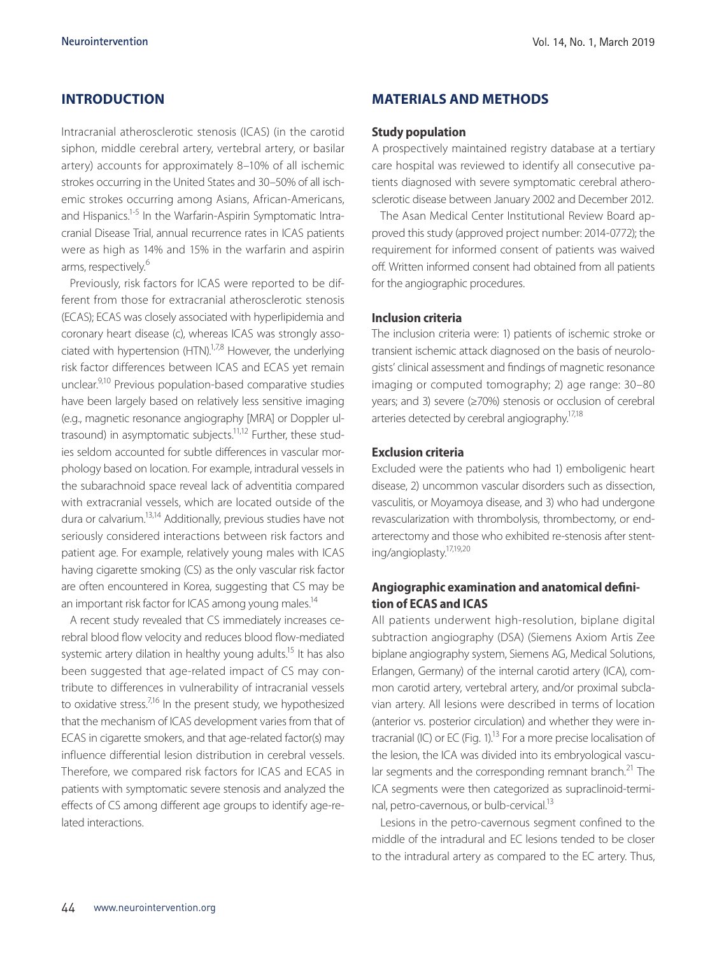# **INTRODUCTION**

Intracranial atherosclerotic stenosis (ICAS) (in the carotid siphon, middle cerebral artery, vertebral artery, or basilar artery) accounts for approximately 8–10% of all ischemic strokes occurring in the United States and 30–50% of all ischemic strokes occurring among Asians, African-Americans, and Hispanics.<sup>1-5</sup> In the Warfarin-Aspirin Symptomatic Intracranial Disease Trial, annual recurrence rates in ICAS patients were as high as 14% and 15% in the warfarin and aspirin arms, respectively.<sup>6</sup>

Previously, risk factors for ICAS were reported to be different from those for extracranial atherosclerotic stenosis (ECAS); ECAS was closely associated with hyperlipidemia and coronary heart disease (c), whereas ICAS was strongly associated with hypertension  $(HTN)^{1,7,8}$  However, the underlying risk factor differences between ICAS and ECAS yet remain unclear.<sup>9,10</sup> Previous population-based comparative studies have been largely based on relatively less sensitive imaging (e.g., magnetic resonance angiography [MRA] or Doppler ultrasound) in asymptomatic subjects.<sup>11,12</sup> Further, these studies seldom accounted for subtle differences in vascular morphology based on location. For example, intradural vessels in the subarachnoid space reveal lack of adventitia compared with extracranial vessels, which are located outside of the dura or calvarium.13,14 Additionally, previous studies have not seriously considered interactions between risk factors and patient age. For example, relatively young males with ICAS having cigarette smoking (CS) as the only vascular risk factor are often encountered in Korea, suggesting that CS may be an important risk factor for ICAS among young males.<sup>14</sup>

A recent study revealed that CS immediately increases cerebral blood flow velocity and reduces blood flow-mediated systemic artery dilation in healthy young adults.<sup>15</sup> It has also been suggested that age-related impact of CS may contribute to differences in vulnerability of intracranial vessels to oxidative stress. $7^{16}$  In the present study, we hypothesized that the mechanism of ICAS development varies from that of ECAS in cigarette smokers, and that age-related factor(s) may influence differential lesion distribution in cerebral vessels. Therefore, we compared risk factors for ICAS and ECAS in patients with symptomatic severe stenosis and analyzed the effects of CS among different age groups to identify age-related interactions.

## **MATERIALS AND METHODS**

#### **Study population**

A prospectively maintained registry database at a tertiary care hospital was reviewed to identify all consecutive patients diagnosed with severe symptomatic cerebral atherosclerotic disease between January 2002 and December 2012.

The Asan Medical Center Institutional Review Board approved this study (approved project number: 2014-0772); the requirement for informed consent of patients was waived off. Written informed consent had obtained from all patients for the angiographic procedures.

### **Inclusion criteria**

The inclusion criteria were: 1) patients of ischemic stroke or transient ischemic attack diagnosed on the basis of neurologists' clinical assessment and findings of magnetic resonance imaging or computed tomography; 2) age range: 30–80 years; and 3) severe (≥70%) stenosis or occlusion of cerebral arteries detected by cerebral angiography.<sup>17,18</sup>

#### **Exclusion criteria**

Excluded were the patients who had 1) emboligenic heart disease, 2) uncommon vascular disorders such as dissection, vasculitis, or Moyamoya disease, and 3) who had undergone revascularization with thrombolysis, thrombectomy, or endarterectomy and those who exhibited re-stenosis after stenting/angioplasty.17,19,20

# **Angiographic examination and anatomical definition of ECAS and ICAS**

All patients underwent high-resolution, biplane digital subtraction angiography (DSA) (Siemens Axiom Artis Zee biplane angiography system, Siemens AG, Medical Solutions, Erlangen, Germany) of the internal carotid artery (ICA), common carotid artery, vertebral artery, and/or proximal subclavian artery. All lesions were described in terms of location (anterior vs. posterior circulation) and whether they were intracranial (IC) or EC (Fig.  $1$ ).<sup>13</sup> For a more precise localisation of the lesion, the ICA was divided into its embryological vascular segments and the corresponding remnant branch.<sup>21</sup> The ICA segments were then categorized as supraclinoid-terminal, petro-cavernous, or bulb-cervical.<sup>13</sup>

Lesions in the petro-cavernous segment confined to the middle of the intradural and EC lesions tended to be closer to the intradural artery as compared to the EC artery. Thus,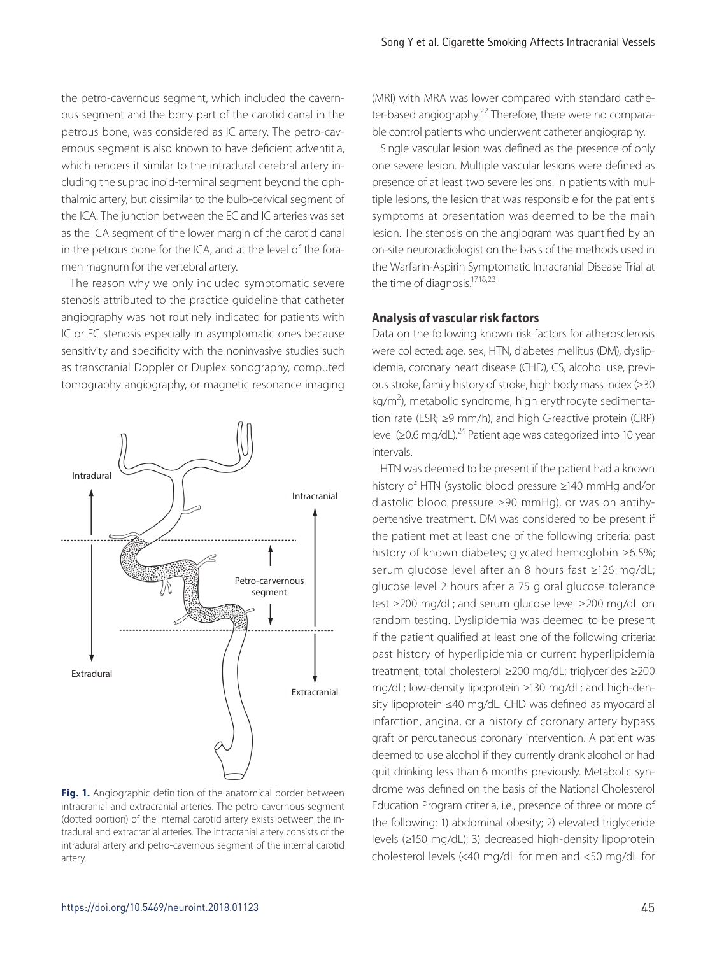the petro-cavernous segment, which included the cavernous segment and the bony part of the carotid canal in the petrous bone, was considered as IC artery. The petro-cavernous segment is also known to have deficient adventitia, which renders it similar to the intradural cerebral artery including the supraclinoid-terminal segment beyond the ophthalmic artery, but dissimilar to the bulb-cervical segment of the ICA. The junction between the EC and IC arteries was set as the ICA segment of the lower margin of the carotid canal in the petrous bone for the ICA, and at the level of the foramen magnum for the vertebral artery.

The reason why we only included symptomatic severe stenosis attributed to the practice guideline that catheter angiography was not routinely indicated for patients with IC or EC stenosis especially in asymptomatic ones because sensitivity and specificity with the noninvasive studies such as transcranial Doppler or Duplex sonography, computed tomography angiography, or magnetic resonance imaging



**Fig. 1.** Angiographic definition of the anatomical border between intracranial and extracranial arteries. The petro-cavernous segment (dotted portion) of the internal carotid artery exists between the intradural and extracranial arteries. The intracranial artery consists of the intradural artery and petro-cavernous segment of the internal carotid artery.

(MRI) with MRA was lower compared with standard catheter-based angiography.<sup>22</sup> Therefore, there were no comparable control patients who underwent catheter angiography.

Single vascular lesion was defined as the presence of only one severe lesion. Multiple vascular lesions were defined as presence of at least two severe lesions. In patients with multiple lesions, the lesion that was responsible for the patient's symptoms at presentation was deemed to be the main lesion. The stenosis on the angiogram was quantified by an on-site neuroradiologist on the basis of the methods used in the Warfarin-Aspirin Symptomatic Intracranial Disease Trial at the time of diagnosis.<sup>17,18,23</sup>

# **Analysis of vascular risk factors**

Data on the following known risk factors for atherosclerosis were collected: age, sex, HTN, diabetes mellitus (DM), dyslipidemia, coronary heart disease (CHD), CS, alcohol use, previous stroke, family history of stroke, high body mass index (≥30 kg/m<sup>2</sup>), metabolic syndrome, high erythrocyte sedimentation rate (ESR; ≥9 mm/h), and high C-reactive protein (CRP) level (≥0.6 mg/dL).24 Patient age was categorized into 10 year intervals.

HTN was deemed to be present if the patient had a known history of HTN (systolic blood pressure ≥140 mmHg and/or diastolic blood pressure ≥90 mmHg), or was on antihypertensive treatment. DM was considered to be present if the patient met at least one of the following criteria: past history of known diabetes; glycated hemoglobin ≥6.5%; serum glucose level after an 8 hours fast ≥126 mg/dL; glucose level 2 hours after a 75 g oral glucose tolerance test ≥200 mg/dL; and serum glucose level ≥200 mg/dL on random testing. Dyslipidemia was deemed to be present if the patient qualified at least one of the following criteria: past history of hyperlipidemia or current hyperlipidemia treatment; total cholesterol ≥200 mg/dL; triglycerides ≥200 mg/dL; low-density lipoprotein ≥130 mg/dL; and high-density lipoprotein ≤40 mg/dL. CHD was defined as myocardial infarction, angina, or a history of coronary artery bypass graft or percutaneous coronary intervention. A patient was deemed to use alcohol if they currently drank alcohol or had quit drinking less than 6 months previously. Metabolic syndrome was defined on the basis of the National Cholesterol Education Program criteria, i.e., presence of three or more of the following: 1) abdominal obesity; 2) elevated triglyceride levels (≥150 mg/dL); 3) decreased high-density lipoprotein cholesterol levels (<40 mg/dL for men and <50 mg/dL for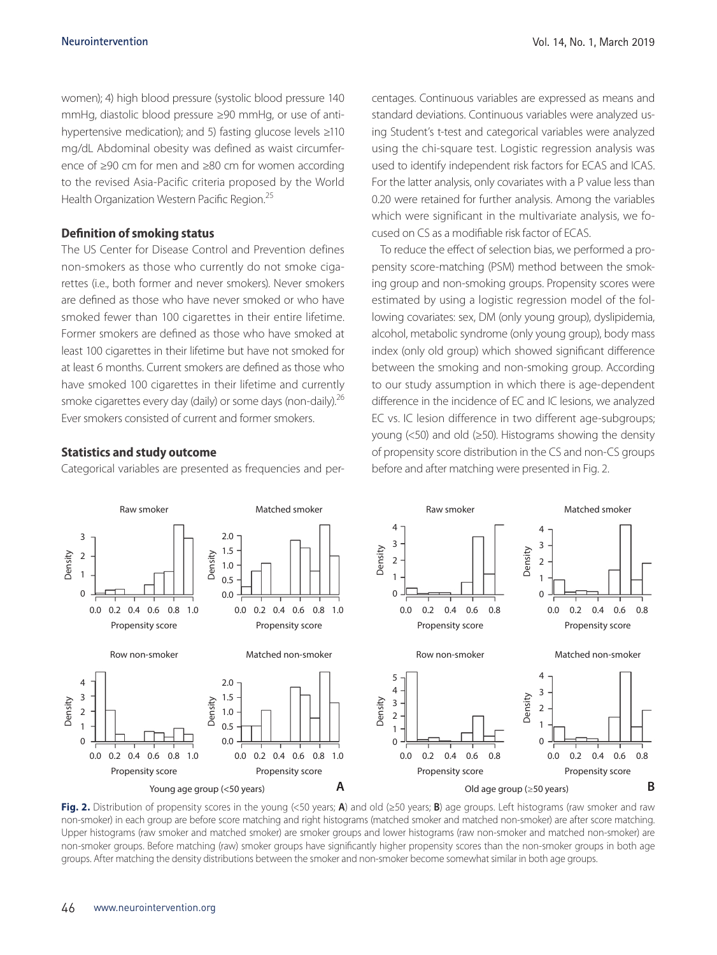women); 4) high blood pressure (systolic blood pressure 140 mmHg, diastolic blood pressure ≥90 mmHg, or use of antihypertensive medication); and 5) fasting glucose levels ≥110 mg/dL Abdominal obesity was defined as waist circumference of ≥90 cm for men and ≥80 cm for women according to the revised Asia-Pacific criteria proposed by the World Health Organization Western Pacific Region.<sup>25</sup>

#### **Definition of smoking status**

The US Center for Disease Control and Prevention defines non-smokers as those who currently do not smoke cigarettes (i.e., both former and never smokers). Never smokers are defined as those who have never smoked or who have smoked fewer than 100 cigarettes in their entire lifetime. Former smokers are defined as those who have smoked at least 100 cigarettes in their lifetime but have not smoked for at least 6 months. Current smokers are defined as those who have smoked 100 cigarettes in their lifetime and currently smoke cigarettes every day (daily) or some days (non-daily).<sup>26</sup> Ever smokers consisted of current and former smokers.

### **Statistics and study outcome**

Categorical variables are presented as frequencies and per-

centages. Continuous variables are expressed as means and standard deviations. Continuous variables were analyzed using Student's t-test and categorical variables were analyzed using the chi-square test. Logistic regression analysis was used to identify independent risk factors for ECAS and ICAS. For the latter analysis, only covariates with a P value less than 0.20 were retained for further analysis. Among the variables which were significant in the multivariate analysis, we focused on CS as a modifiable risk factor of ECAS.

To reduce the effect of selection bias, we performed a propensity score-matching (PSM) method between the smoking group and non-smoking groups. Propensity scores were estimated by using a logistic regression model of the following covariates: sex, DM (only young group), dyslipidemia, alcohol, metabolic syndrome (only young group), body mass index (only old group) which showed significant difference between the smoking and non-smoking group. According to our study assumption in which there is age-dependent difference in the incidence of EC and IC lesions, we analyzed EC vs. IC lesion difference in two different age-subgroups; young (<50) and old (≥50). Histograms showing the density of propensity score distribution in the CS and non-CS groups before and after matching were presented in Fig. 2.



**Fig. 2.** Distribution of propensity scores in the young (<50 years; **A**) and old (≥50 years; **B**) age groups. Left histograms (raw smoker and raw non-smoker) in each group are before score matching and right histograms (matched smoker and matched non-smoker) are after score matching. Upper histograms (raw smoker and matched smoker) are smoker groups and lower histograms (raw non-smoker and matched non-smoker) are non-smoker groups. Before matching (raw) smoker groups have significantly higher propensity scores than the non-smoker groups in both age groups. After matching the density distributions between the smoker and non-smoker become somewhat similar in both age groups.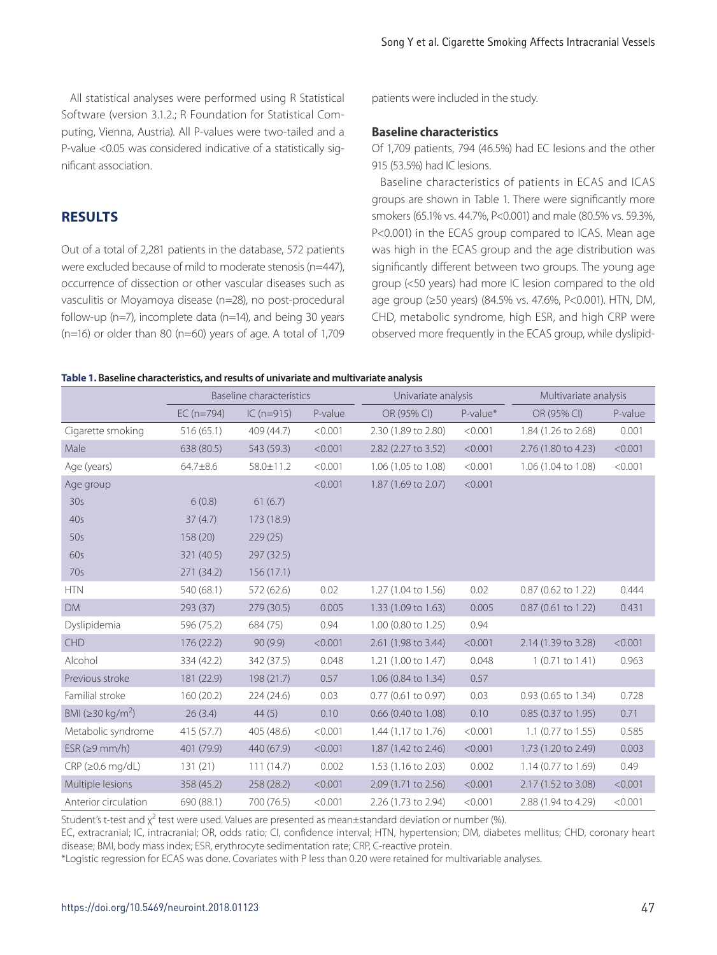All statistical analyses were performed using R Statistical Software (version 3.1.2.; R Foundation for Statistical Computing, Vienna, Austria). All P-values were two-tailed and a P-value <0.05 was considered indicative of a statistically significant association.

# **RESULTS**

Out of a total of 2,281 patients in the database, 572 patients were excluded because of mild to moderate stenosis (n=447), occurrence of dissection or other vascular diseases such as vasculitis or Moyamoya disease (n=28), no post-procedural follow-up (n=7), incomplete data (n=14), and being 30 years ( $n=16$ ) or older than 80 ( $n=60$ ) years of age. A total of 1,709 patients were included in the study.

#### **Baseline characteristics**

Of 1,709 patients, 794 (46.5%) had EC lesions and the other 915 (53.5%) had IC lesions.

Baseline characteristics of patients in ECAS and ICAS groups are shown in Table 1. There were significantly more smokers (65.1% vs. 44.7%, P<0.001) and male (80.5% vs. 59.3%, P<0.001) in the ECAS group compared to ICAS. Mean age was high in the ECAS group and the age distribution was significantly different between two groups. The young age group (<50 years) had more IC lesion compared to the old age group (≥50 years) (84.5% vs. 47.6%, P<0.001). HTN, DM, CHD, metabolic syndrome, high ESR, and high CRP were observed more frequently in the ECAS group, while dyslipid-

#### **Table 1. Baseline characteristics, and results of univariate and multivariate analysis**

|                              |              | <b>Baseline characteristics</b> |         | Univariate analysis   |          | Multivariate analysis |         |
|------------------------------|--------------|---------------------------------|---------|-----------------------|----------|-----------------------|---------|
|                              | $EC (n=794)$ | $IC(n=915)$                     | P-value | OR (95% CI)           | P-value* | OR (95% CI)           | P-value |
| Cigarette smoking            | 516 (65.1)   | 409 (44.7)                      | < 0.001 | 2.30 (1.89 to 2.80)   | < 0.001  | 1.84 (1.26 to 2.68)   | 0.001   |
| Male                         | 638 (80.5)   | 543 (59.3)                      | < 0.001 | 2.82 (2.27 to 3.52)   | < 0.001  | 2.76 (1.80 to 4.23)   | < 0.001 |
| Age (years)                  | 64.7±8.6     | 58.0±11.2                       | < 0.001 | 1.06 (1.05 to 1.08)   | < 0.001  | 1.06 (1.04 to 1.08)   | < 0.001 |
| Age group                    |              |                                 | < 0.001 | 1.87 (1.69 to 2.07)   | < 0.001  |                       |         |
| 30s                          | 6(0.8)       | 61(6.7)                         |         |                       |          |                       |         |
| 40s                          | 37(4.7)      | 173 (18.9)                      |         |                       |          |                       |         |
| 50s                          | 158 (20)     | 229(25)                         |         |                       |          |                       |         |
| 60s                          | 321 (40.5)   | 297 (32.5)                      |         |                       |          |                       |         |
| 70s                          | 271 (34.2)   | 156(17.1)                       |         |                       |          |                       |         |
| <b>HTN</b>                   | 540 (68.1)   | 572 (62.6)                      | 0.02    | 1.27 (1.04 to 1.56)   | 0.02     | 0.87 (0.62 to 1.22)   | 0.444   |
| <b>DM</b>                    | 293 (37)     | 279 (30.5)                      | 0.005   | 1.33 (1.09 to 1.63)   | 0.005    | 0.87 (0.61 to 1.22)   | 0.431   |
| Dyslipidemia                 | 596 (75.2)   | 684 (75)                        | 0.94    | 1.00 (0.80 to 1.25)   | 0.94     |                       |         |
| CHD                          | 176 (22.2)   | 90(9.9)                         | < 0.001 | 2.61 (1.98 to 3.44)   | < 0.001  | 2.14 (1.39 to 3.28)   | < 0.001 |
| Alcohol                      | 334 (42.2)   | 342 (37.5)                      | 0.048   | 1.21 (1.00 to 1.47)   | 0.048    | 1 (0.71 to 1.41)      | 0.963   |
| Previous stroke              | 181 (22.9)   | 198 (21.7)                      | 0.57    | 1.06 (0.84 to 1.34)   | 0.57     |                       |         |
| Familial stroke              | 160 (20.2)   | 224 (24.6)                      | 0.03    | $0.77$ (0.61 to 0.97) | 0.03     | 0.93 (0.65 to 1.34)   | 0.728   |
| BMI (≥30 kg/m <sup>2</sup> ) | 26(3.4)      | 44(5)                           | 0.10    | 0.66 (0.40 to 1.08)   | 0.10     | 0.85 (0.37 to 1.95)   | 0.71    |
| Metabolic syndrome           | 415 (57.7)   | 405 (48.6)                      | < 0.001 | 1.44 (1.17 to 1.76)   | < 0.001  | 1.1 (0.77 to 1.55)    | 0.585   |
| $ESR$ ( $\geq$ 9 mm/h)       | 401 (79.9)   | 440 (67.9)                      | < 0.001 | 1.87 (1.42 to 2.46)   | < 0.001  | 1.73 (1.20 to 2.49)   | 0.003   |
| $CRP$ ( $\geq$ 0.6 mg/dL)    | 131(21)      | 111(14.7)                       | 0.002   | 1.53 (1.16 to 2.03)   | 0.002    | 1.14 (0.77 to 1.69)   | 0.49    |
| Multiple lesions             | 358 (45.2)   | 258 (28.2)                      | < 0.001 | 2.09 (1.71 to 2.56)   | < 0.001  | 2.17 (1.52 to 3.08)   | < 0.001 |
| Anterior circulation         | 690 (88.1)   | 700 (76.5)                      | < 0.001 | 2.26 (1.73 to 2.94)   | < 0.001  | 2.88 (1.94 to 4.29)   | < 0.001 |

Student's t-test and  $\chi^2$  test were used. Values are presented as mean±standard deviation or number (%).

EC, extracranial; IC, intracranial; OR, odds ratio; CI, confidence interval; HTN, hypertension; DM, diabetes mellitus; CHD, coronary heart disease; BMI, body mass index; ESR, erythrocyte sedimentation rate; CRP, C-reactive protein.

\*Logistic regression for ECAS was done. Covariates with P less than 0.20 were retained for multivariable analyses.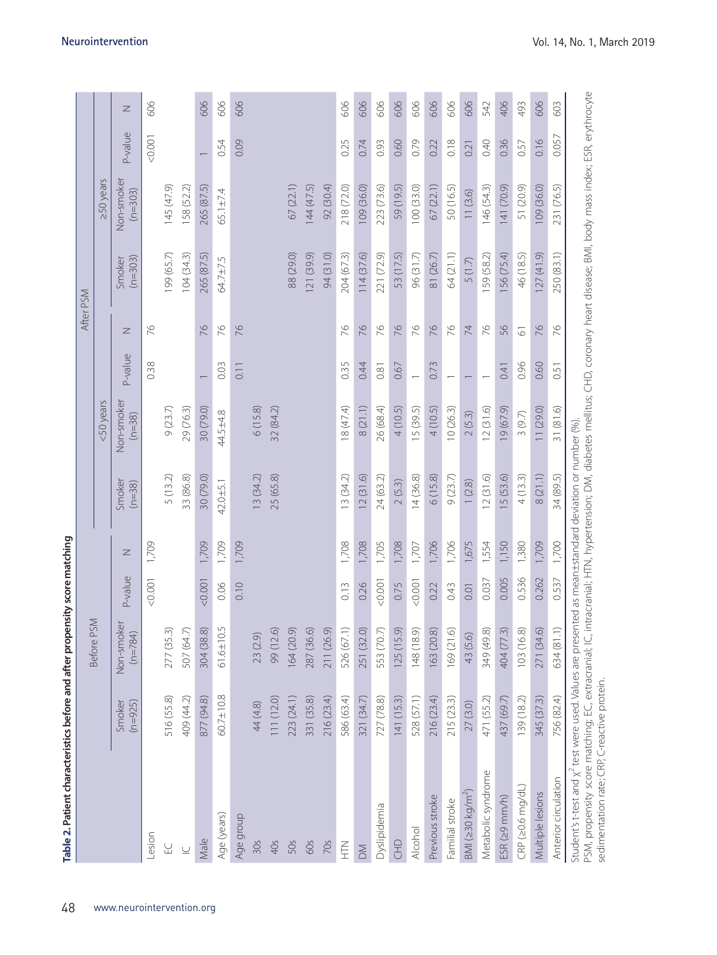|                              |                     | Before PSM              |         |       |                    | <50 years              |                          |                |                     | $250$ years             |                          |  |
|------------------------------|---------------------|-------------------------|---------|-------|--------------------|------------------------|--------------------------|----------------|---------------------|-------------------------|--------------------------|--|
|                              | $(n=925)$<br>Smoker | Non-smoker<br>$(n=784)$ | P-value | Z     | Smoker<br>$(n=38)$ | Non-smoker<br>$(n=38)$ | P-value                  | Z              | $(n=303)$<br>Smoker | Non-smoker<br>$(n=303)$ | P-value                  |  |
| Lesion                       |                     |                         | < 0.001 | 1,709 |                    |                        | 0.38                     | 76             |                     |                         | < 0.001                  |  |
| $\Xi$                        | 516 (55.8)          | 277 (35.3)              |         |       | 5 (13.2)           | 9(23.7)                |                          |                | 199 (65.7)          | 145 (47.9)              |                          |  |
| $\subseteq$                  | 409 (44.2)          | 507 (64.7)              |         |       | 33 (86.8)          | 29 (76.3)              |                          |                | 104(34.3)           | 158 (52.2)              |                          |  |
| Male                         | 877 (94.8)          | 304 (38.8)              | < 0.001 | 1,709 | 30 (79.0)          | 30 (79.0)              |                          | 76             | 265 (87.5)          | 265 (87.5)              | $\overline{\phantom{0}}$ |  |
| Age (years)                  | 60.7±10.8           | $61.6 \pm 10.5$         | 0.06    | 1,709 | 42.0±5.1           | 44.5±4.8               | 0.03                     | 94             | 64.7±7.5            | 65.1±7.4                | 0.54                     |  |
| Age group                    |                     |                         | 0.10    | 1,709 |                    |                        | 0.11                     | 76             |                     |                         | 0.09                     |  |
| 30s                          | 44 (4.8)            | 23 (2.9)                |         |       | 13 (34.2)          | 6(15.8)                |                          |                |                     |                         |                          |  |
| 4Os                          | 111 (12.0)          | 99 (12.6)               |         |       | 25 (65.8)          | 32 (84.2)              |                          |                |                     |                         |                          |  |
| 50s                          | 223 (24.1)          | 164 (20.9)              |         |       |                    |                        |                          |                | 88 (29.0)           | 67(22.1)                |                          |  |
| 60s                          | 331 (35.8)          | 287 (36.6)              |         |       |                    |                        |                          |                | 121 (39.9)          | 144(47.5)               |                          |  |
| 70s                          | 216 (23.4)          | 211 (26.9)              |         |       |                    |                        |                          |                | 94 (31.0)           | 92 (30.4)               |                          |  |
| EH                           | 586 (63.4)          | 526 (67.1)              | 0.13    | 1,708 | 13(34.2)           | 18 (47.4)              | 0.35                     | 76             | 204 (67.3)          | 218 (72.0)              | 0.25                     |  |
| $\geq$                       | 321 (34.7)          | 251 (32.0)              | 0.26    | 1,708 | 12(31.6)           | 8(21.1)                | 0.44                     | 76             | 114(37.6)           | 109 (36.0)              | 0.74                     |  |
| Dyslipidemia                 | 727 (78.8)          | 553 (70.7)              | 0.001   | 1,705 | 24 (63.2)          | 26 (68.4)              | 0.81                     | 76             | 221 (72.9)          | 223 (73.6)              | 0.93                     |  |
| EHD                          | 141 (15.3)          | 125(15.9)               | 0.75    | 1,708 | 2(5.3)             | 4(10.5)                | 0.67                     | 76             | 53 (17.5)           | 59 (19.5)               | 0.60                     |  |
| Alcohol                      | 528 (57.1)          | 148 (18.9)              | < 0.001 | 1,707 | 14(36.8)           | 15 (39.5)              | $\overline{\phantom{0}}$ | 76             | 96 (31.7)           | 100(33.0)               | 0.79                     |  |
| Previous stroke              | 216 (23.4)          | 163 (20.8)              | 0.22    | 1,706 | 6(15.8)            | 4(10.5)                | 0.73                     | 76             | 81 (26.7)           | 67(22.1)                | 0.22                     |  |
| Familial stroke              | 215 (23.3)          | 169(21.6)               | 0.43    | 1,706 | 9(23.7)            | 10(26.3)               |                          | 76             | 64 (21.1)           | 50 (16.5)               | 0.18                     |  |
| BMI (230 kg/m <sup>2</sup> ) | 27(3.0)             | 43 (5.6)                | 0.01    | 1,675 | 1(2.8)             | 2(5.3)                 |                          | $\overline{7}$ | 5(1.7)              | 11(3.6)                 | 0.21                     |  |
| Metabolic syndrome           | 471 (55.2)          | 349 (49.8)              | 0.037   | 1,554 | 12(31.6)           | 12(31.6)               |                          | 76             | 159 (58.2)          | 146 (54.3)              | 0.40                     |  |
| ESR(29 mm/h)                 | 437 (69.7)          | 404 (77.3)              | 0.005   | 1,150 | 5 (53.6)           | 9(67.9)                | 0.41                     | 56             | 56 (75.4)           | 141 (70.9)              | 0.36                     |  |
| CRP (20.6 mg/dL)             | 139 (18.2)          | 103 (16.8)              | 0.536   | 1,380 | 4(13.3)            | 3(9.7)                 | 0.96                     | $\overline{6}$ | 46 (18.5)           | 51 (20.9)               | 0.57                     |  |
| Multiple lesions             | 345 (37.3)          | 271 (34.6)              | 0.262   | 1,709 | 8(21.1)            | 11(29.0)               | 0.60                     | 76             | 127(41.9)           | 109 (36.0)              | 0.16                     |  |
| Anterior circulation         | 756 (82.4)          | 634 (81.1)              | 0.537   | 1,700 | 34 (89.5)          | 31(81.6)               | 0.51                     | 76             | 250 (83.1)          | 231 (76.5)              | 0.057                    |  |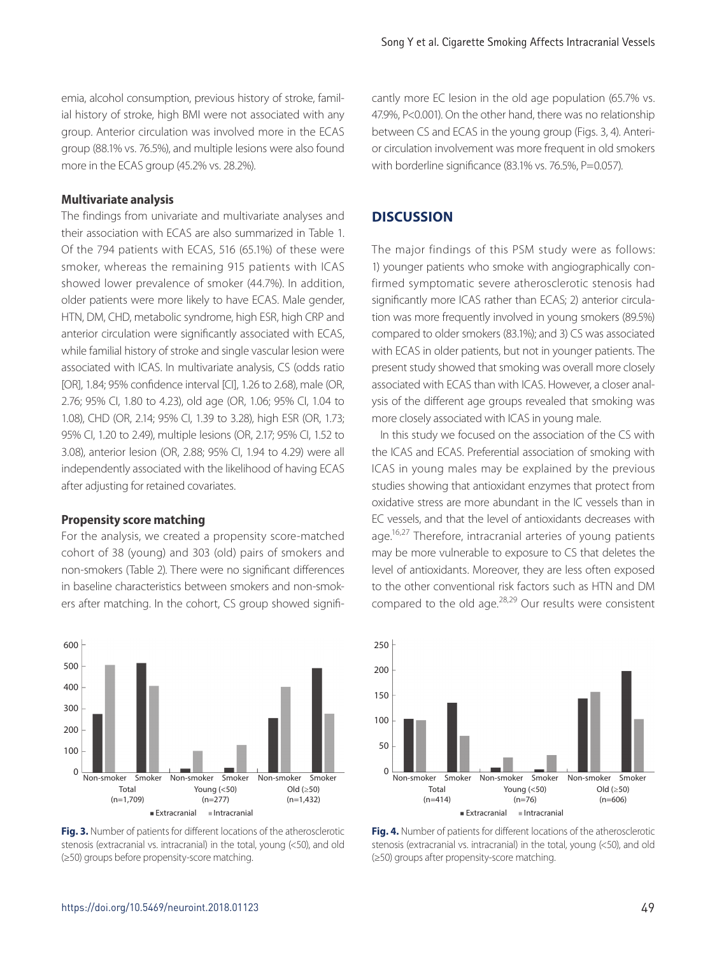emia, alcohol consumption, previous history of stroke, familial history of stroke, high BMI were not associated with any group. Anterior circulation was involved more in the ECAS group (88.1% vs. 76.5%), and multiple lesions were also found more in the ECAS group (45.2% vs. 28.2%).

#### **Multivariate analysis**

The findings from univariate and multivariate analyses and their association with ECAS are also summarized in Table 1. Of the 794 patients with ECAS, 516 (65.1%) of these were smoker, whereas the remaining 915 patients with ICAS showed lower prevalence of smoker (44.7%). In addition, older patients were more likely to have ECAS. Male gender, HTN, DM, CHD, metabolic syndrome, high ESR, high CRP and anterior circulation were significantly associated with ECAS, while familial history of stroke and single vascular lesion were associated with ICAS. In multivariate analysis, CS (odds ratio [OR], 1.84; 95% confidence interval [CI], 1.26 to 2.68), male (OR, 2.76; 95% CI, 1.80 to 4.23), old age (OR, 1.06; 95% CI, 1.04 to 1.08), CHD (OR, 2.14; 95% CI, 1.39 to 3.28), high ESR (OR, 1.73; 95% CI, 1.20 to 2.49), multiple lesions (OR, 2.17; 95% CI, 1.52 to 3.08), anterior lesion (OR, 2.88; 95% CI, 1.94 to 4.29) were all independently associated with the likelihood of having ECAS after adjusting for retained covariates.

#### **Propensity score matching**

For the analysis, we created a propensity score-matched cohort of 38 (young) and 303 (old) pairs of smokers and non-smokers (Table 2). There were no significant differences in baseline characteristics between smokers and non-smokers after matching. In the cohort, CS group showed signifi-



**Fig. 3.** Number of patients for different locations of the atherosclerotic stenosis (extracranial vs. intracranial) in the total, young (<50), and old (≥50) groups before propensity-score matching.

cantly more EC lesion in the old age population (65.7% vs. 47.9%, P<0.001). On the other hand, there was no relationship between CS and ECAS in the young group (Figs. 3, 4). Anterior circulation involvement was more frequent in old smokers with borderline significance (83.1% vs. 76.5%, P=0.057).

#### **DISCUSSION**

The major findings of this PSM study were as follows: 1) younger patients who smoke with angiographically confirmed symptomatic severe atherosclerotic stenosis had significantly more ICAS rather than ECAS; 2) anterior circulation was more frequently involved in young smokers (89.5%) compared to older smokers (83.1%); and 3) CS was associated with ECAS in older patients, but not in younger patients. The present study showed that smoking was overall more closely associated with ECAS than with ICAS. However, a closer analysis of the different age groups revealed that smoking was more closely associated with ICAS in young male.

In this study we focused on the association of the CS with the ICAS and ECAS. Preferential association of smoking with ICAS in young males may be explained by the previous studies showing that antioxidant enzymes that protect from oxidative stress are more abundant in the IC vessels than in EC vessels, and that the level of antioxidants decreases with age.<sup>16,27</sup> Therefore, intracranial arteries of young patients may be more vulnerable to exposure to CS that deletes the level of antioxidants. Moreover, they are less often exposed to the other conventional risk factors such as HTN and DM compared to the old age. $28,29$  Our results were consistent



**Fig. 4.** Number of patients for different locations of the atherosclerotic stenosis (extracranial vs. intracranial) in the total, young (<50), and old (≥50) groups after propensity-score matching.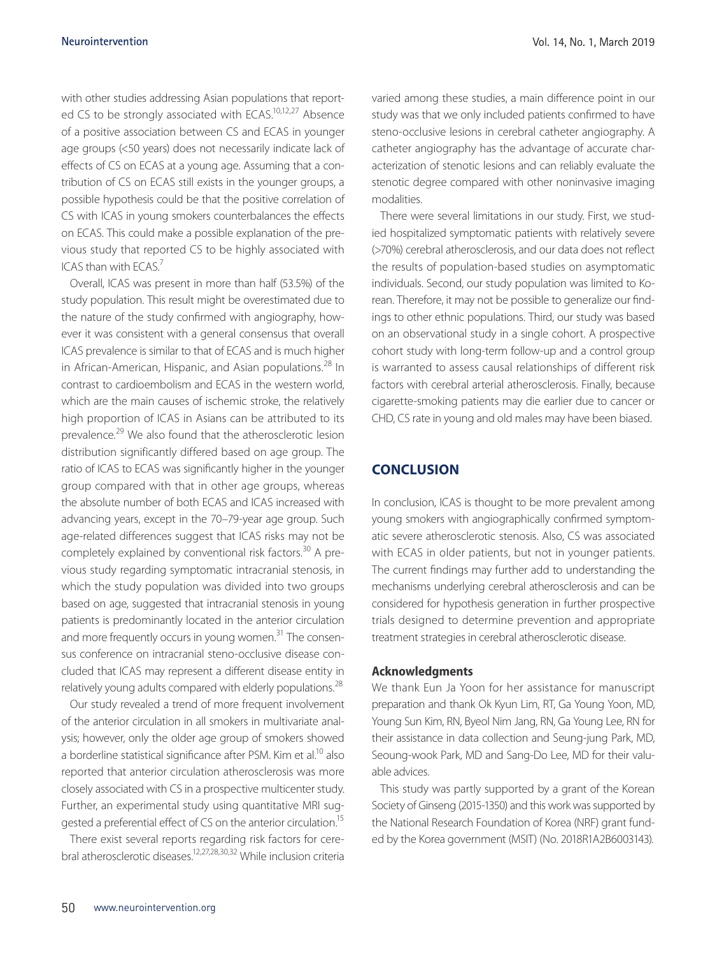with other studies addressing Asian populations that reported CS to be strongly associated with ECAS.<sup>10,12,27</sup> Absence of a positive association between CS and ECAS in younger age groups (<50 years) does not necessarily indicate lack of effects of CS on ECAS at a young age. Assuming that a contribution of CS on ECAS still exists in the younger groups, a possible hypothesis could be that the positive correlation of CS with ICAS in young smokers counterbalances the effects on ECAS. This could make a possible explanation of the previous study that reported CS to be highly associated with ICAS than with ECAS.7

Overall, ICAS was present in more than half (53.5%) of the study population. This result might be overestimated due to the nature of the study confirmed with angiography, however it was consistent with a general consensus that overall ICAS prevalence is similar to that of ECAS and is much higher in African-American, Hispanic, and Asian populations.<sup>28</sup> In contrast to cardioembolism and ECAS in the western world, which are the main causes of ischemic stroke, the relatively high proportion of ICAS in Asians can be attributed to its prevalence.29 We also found that the atherosclerotic lesion distribution significantly differed based on age group. The ratio of ICAS to ECAS was significantly higher in the younger group compared with that in other age groups, whereas the absolute number of both ECAS and ICAS increased with advancing years, except in the 70–79-year age group. Such age-related differences suggest that ICAS risks may not be completely explained by conventional risk factors.<sup>30</sup> A previous study regarding symptomatic intracranial stenosis, in which the study population was divided into two groups based on age, suggested that intracranial stenosis in young patients is predominantly located in the anterior circulation and more frequently occurs in young women.<sup>31</sup> The consensus conference on intracranial steno-occlusive disease concluded that ICAS may represent a different disease entity in relatively young adults compared with elderly populations.<sup>28</sup>

Our study revealed a trend of more frequent involvement of the anterior circulation in all smokers in multivariate analysis; however, only the older age group of smokers showed a borderline statistical significance after PSM. Kim et al.<sup>10</sup> also reported that anterior circulation atherosclerosis was more closely associated with CS in a prospective multicenter study. Further, an experimental study using quantitative MRI suggested a preferential effect of CS on the anterior circulation.15

There exist several reports regarding risk factors for cerebral atherosclerotic diseases.12,27,28,30,32 While inclusion criteria

varied among these studies, a main difference point in our study was that we only included patients confirmed to have steno-occlusive lesions in cerebral catheter angiography. A catheter angiography has the advantage of accurate characterization of stenotic lesions and can reliably evaluate the stenotic degree compared with other noninvasive imaging modalities.

There were several limitations in our study. First, we studied hospitalized symptomatic patients with relatively severe (>70%) cerebral atherosclerosis, and our data does not reflect the results of population-based studies on asymptomatic individuals. Second, our study population was limited to Korean. Therefore, it may not be possible to generalize our findings to other ethnic populations. Third, our study was based on an observational study in a single cohort. A prospective cohort study with long-term follow-up and a control group is warranted to assess causal relationships of different risk factors with cerebral arterial atherosclerosis. Finally, because cigarette-smoking patients may die earlier due to cancer or CHD, CS rate in young and old males may have been biased.

# **CONCLUSION**

In conclusion, ICAS is thought to be more prevalent among young smokers with angiographically confirmed symptomatic severe atherosclerotic stenosis. Also, CS was associated with ECAS in older patients, but not in younger patients. The current findings may further add to understanding the mechanisms underlying cerebral atherosclerosis and can be considered for hypothesis generation in further prospective trials designed to determine prevention and appropriate treatment strategies in cerebral atherosclerotic disease.

#### **Acknowledgments**

We thank Eun Ja Yoon for her assistance for manuscript preparation and thank Ok Kyun Lim, RT, Ga Young Yoon, MD, Young Sun Kim, RN, Byeol Nim Jang, RN, Ga Young Lee, RN for their assistance in data collection and Seung-jung Park, MD, Seoung-wook Park, MD and Sang-Do Lee, MD for their valuable advices.

This study was partly supported by a grant of the Korean Society of Ginseng (2015-1350) and this work was supported by the National Research Foundation of Korea (NRF) grant funded by the Korea government (MSIT) (No. 2018R1A2B6003143).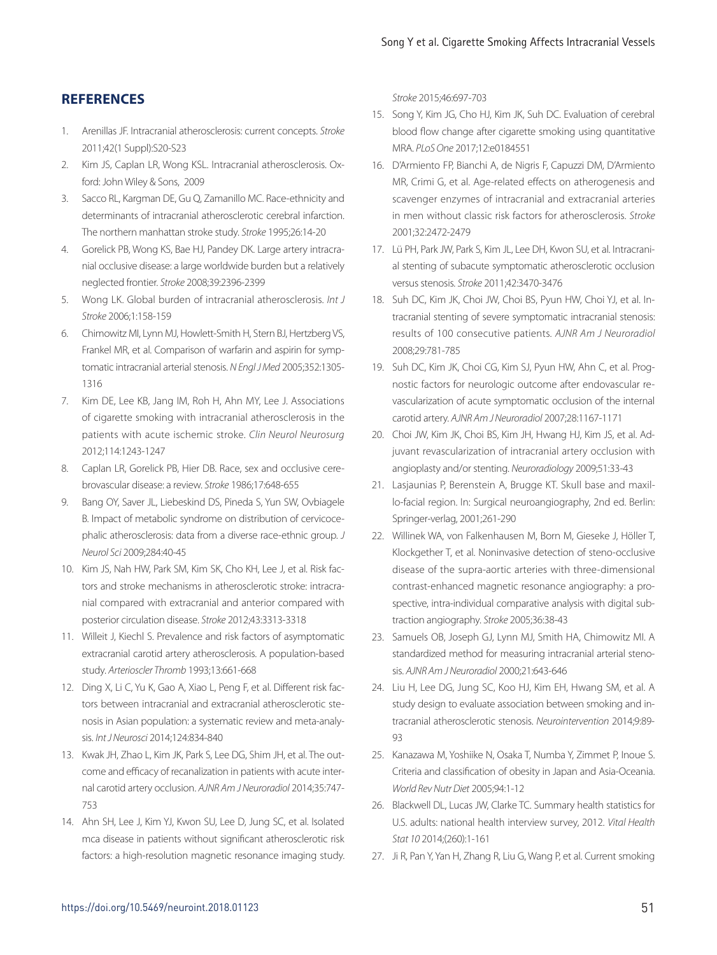# **REFERENCES**

- 1. Arenillas JF. Intracranial atherosclerosis: current concepts. *Stroke* 2011;42(1 Suppl):S20-S23
- 2. Kim JS, Caplan LR, Wong KSL. Intracranial atherosclerosis. Oxford: John Wiley & Sons, 2009
- 3. Sacco RL, Kargman DE, Gu Q, Zamanillo MC. Race-ethnicity and determinants of intracranial atherosclerotic cerebral infarction. The northern manhattan stroke study. *Stroke* 1995;26:14-20
- 4. Gorelick PB, Wong KS, Bae HJ, Pandey DK. Large artery intracranial occlusive disease: a large worldwide burden but a relatively neglected frontier. *Stroke* 2008;39:2396-2399
- 5. Wong LK. Global burden of intracranial atherosclerosis. *Int J Stroke* 2006;1:158-159
- 6. Chimowitz MI, Lynn MJ, Howlett-Smith H, Stern BJ, Hertzberg VS, Frankel MR, et al. Comparison of warfarin and aspirin for symptomatic intracranial arterial stenosis. *N Engl J Med* 2005;352:1305- 1316
- 7. Kim DE, Lee KB, Jang IM, Roh H, Ahn MY, Lee J. Associations of cigarette smoking with intracranial atherosclerosis in the patients with acute ischemic stroke. *Clin Neurol Neurosurg* 2012;114:1243-1247
- 8. Caplan LR, Gorelick PB, Hier DB. Race, sex and occlusive cerebrovascular disease: a review. *Stroke* 1986;17:648-655
- 9. Bang OY, Saver JL, Liebeskind DS, Pineda S, Yun SW, Ovbiagele B. Impact of metabolic syndrome on distribution of cervicocephalic atherosclerosis: data from a diverse race-ethnic group. *J Neurol Sci* 2009;284:40-45
- 10. Kim JS, Nah HW, Park SM, Kim SK, Cho KH, Lee J, et al. Risk factors and stroke mechanisms in atherosclerotic stroke: intracranial compared with extracranial and anterior compared with posterior circulation disease. *Stroke* 2012;43:3313-3318
- 11. Willeit J, Kiechl S. Prevalence and risk factors of asymptomatic extracranial carotid artery atherosclerosis. A population-based study. *Arterioscler Thromb* 1993;13:661-668
- 12. Ding X, Li C, Yu K, Gao A, Xiao L, Peng F, et al. Different risk factors between intracranial and extracranial atherosclerotic stenosis in Asian population: a systematic review and meta-analysis. *Int J Neurosci* 2014;124:834-840
- 13. Kwak JH, Zhao L, Kim JK, Park S, Lee DG, Shim JH, et al. The outcome and efficacy of recanalization in patients with acute internal carotid artery occlusion. *AJNR Am J Neuroradiol* 2014;35:747- 753
- 14. Ahn SH, Lee J, Kim YJ, Kwon SU, Lee D, Jung SC, et al. Isolated mca disease in patients without significant atherosclerotic risk factors: a high-resolution magnetic resonance imaging study.

*Stroke* 2015;46:697-703

- 15. Song Y, Kim JG, Cho HJ, Kim JK, Suh DC. Evaluation of cerebral blood flow change after cigarette smoking using quantitative MRA. *PLoS One* 2017;12:e0184551
- 16. D'Armiento FP, Bianchi A, de Nigris F, Capuzzi DM, D'Armiento MR, Crimi G, et al. Age-related effects on atherogenesis and scavenger enzymes of intracranial and extracranial arteries in men without classic risk factors for atherosclerosis. *Stroke* 2001;32:2472-2479
- 17. Lü PH, Park JW, Park S, Kim JL, Lee DH, Kwon SU, et al. Intracranial stenting of subacute symptomatic atherosclerotic occlusion versus stenosis. *Stroke* 2011;42:3470-3476
- 18. Suh DC, Kim JK, Choi JW, Choi BS, Pyun HW, Choi YJ, et al. Intracranial stenting of severe symptomatic intracranial stenosis: results of 100 consecutive patients. *AJNR Am J Neuroradiol* 2008;29:781-785
- 19. Suh DC, Kim JK, Choi CG, Kim SJ, Pyun HW, Ahn C, et al. Prognostic factors for neurologic outcome after endovascular revascularization of acute symptomatic occlusion of the internal carotid artery. *AJNR Am J Neuroradiol* 2007;28:1167-1171
- 20. Choi JW, Kim JK, Choi BS, Kim JH, Hwang HJ, Kim JS, et al. Adjuvant revascularization of intracranial artery occlusion with angioplasty and/or stenting. *Neuroradiology* 2009;51:33-43
- 21. Lasjaunias P, Berenstein A, Brugge KT. Skull base and maxillo-facial region. In: Surgical neuroangiography, 2nd ed. Berlin: Springer-verlag, 2001;261-290
- 22. Willinek WA, von Falkenhausen M, Born M, Gieseke J, Höller T, Klockgether T, et al. Noninvasive detection of steno-occlusive disease of the supra-aortic arteries with three-dimensional contrast-enhanced magnetic resonance angiography: a prospective, intra-individual comparative analysis with digital subtraction angiography. *Stroke* 2005;36:38-43
- 23. Samuels OB, Joseph GJ, Lynn MJ, Smith HA, Chimowitz MI. A standardized method for measuring intracranial arterial stenosis. *AJNR Am J Neuroradiol* 2000;21:643-646
- 24. Liu H, Lee DG, Jung SC, Koo HJ, Kim EH, Hwang SM, et al. A study design to evaluate association between smoking and intracranial atherosclerotic stenosis. *Neurointervention* 2014;9:89-  $\Omega$
- 25. Kanazawa M, Yoshiike N, Osaka T, Numba Y, Zimmet P, Inoue S. Criteria and classification of obesity in Japan and Asia-Oceania. *World Rev Nutr Diet* 2005;94:1-12
- 26. Blackwell DL, Lucas JW, Clarke TC. Summary health statistics for U.S. adults: national health interview survey, 2012. *Vital Health Stat 10* 2014;(260):1-161
- 27. Ji R, Pan Y, Yan H, Zhang R, Liu G, Wang P, et al. Current smoking